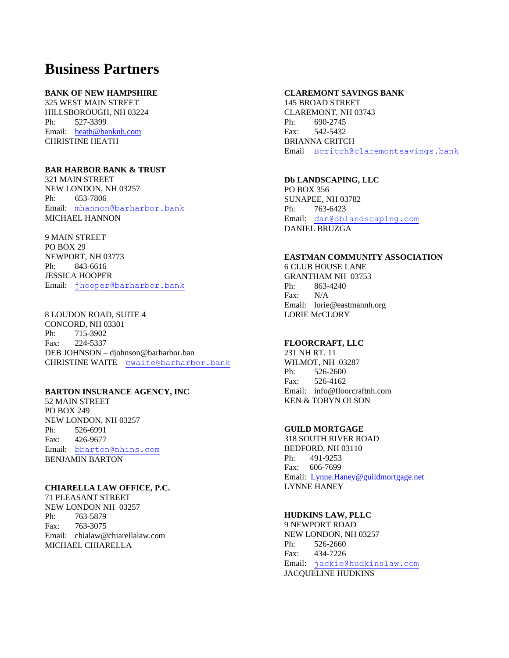# **Business Partners**

## **BANK OF NEW HAMPSHIRE**

325 WEST MAIN STREET HILLSBOROUGH, NH 03224 Ph: 527-3399 Email: [heath@banknh.com](mailto:heath@banknh.com) CHRISTINE HEATH

# **BAR HARBOR BANK & TRUST**

321 MAIN STREET NEW LONDON, NH 03257 Ph: 653-7806 Email: [mhannon@barharbor.bank](mailto:mhannon@barharbor.bank) MICHAEL HANNON

9 MAIN STREET PO BOX 29 NEWPORT, NH 03773 Ph: 843-6616 JESSICA HOOPER Email: [jhooper@b](mailto:jhooper@)arharbor.bank

8 LOUDON ROAD, SUITE 4 CONCORD, NH 03301 Ph: 715-3902 Fax: 224-5337 DEB JOHNSON – djohnson@barharbor.ban CHRISTINE WAITE – [cwaite@barharbor.bank](mailto:cwaite@lakesunbank.com)

#### **BARTON INSURANCE AGENCY, INC**

52 MAIN STREET PO BOX 249 NEW LONDON, NH 03257 Ph: 526-6991 Fax: 426-9677 Email: [bbarton@nhins.com](mailto:bbarton@nhins.com) BENJAMIN BARTON

## **CHIARELLA LAW OFFICE, P.C.**

71 PLEASANT STREET NEW LONDON NH 03257 Ph: 763-5879 Fax: 763-3075 Email: chialaw@chiarellalaw.com MICHAEL CHIARELLA

## **CLAREMONT SAVINGS BANK**

145 BROAD STREET CLAREMONT, NH 03743 Ph: 690-2745 Fax: 542-5432 BRIANNA CRITCH Email [Bcritch@claremontsavings.bank](mailto:Bcritch@claremontsavings.bank)

#### **Db LANDSCAPING, LLC**

PO BOX 356 SUNAPEE, NH 03782 Ph: 763-6423 Email: [dan@dblandscaping.com](mailto:dan@dblandscaping.com) DANIEL BRUZGA

#### **EASTMAN COMMUNITY ASSOCIATION**

6 CLUB HOUSE LANE GRANTHAM NH 03753 Ph: 863-4240 Fax: N/A Email: lorie@eastmannh.org LORIE McCLORY

# **FLOORCRAFT, LLC**

231 NH RT. 11 WILMOT, NH 03287 Ph: 526-2600 Fax: 526-4162 Email: info@floorcraftnh.com KEN & TOBYN OLSON

## **GUILD MORTGAGE**

318 SOUTH RIVER ROAD BEDFORD, NH 03110 Ph: 491-9253 Fax: 606-7699 Email: [Lynne.Haney@guildmortgage.net](mailto:Lynne.Haney@guildmortgage.net) LYNNE HANEY

#### **HUDKINS LAW, PLLC**

9 NEWPORT ROAD NEW LONDON, NH 03257 Ph: 526-2660 Fax: 434-7226 Email: [jackie@hudkinslaw.com](mailto:jackie@hudkinslaw.com) JACQUELINE HUDKINS